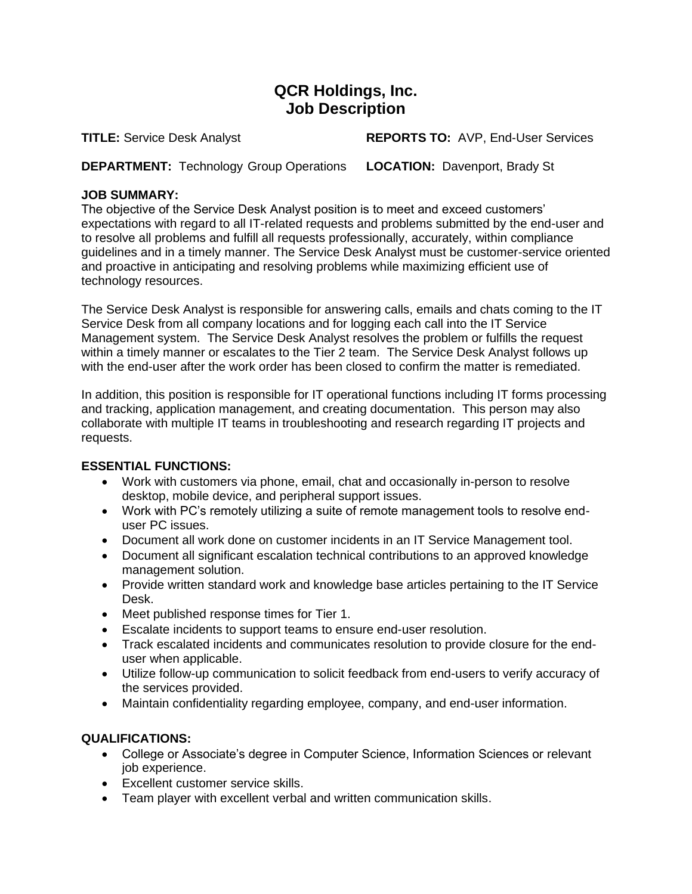## **QCR Holdings, Inc. Job Description**

**TITLE:** Service Desk Analyst **REPORTS TO:** AVP, End-User Services

**DEPARTMENT:** Technology Group Operations **LOCATION:** Davenport, Brady St

## **JOB SUMMARY:**

The objective of the Service Desk Analyst position is to meet and exceed customers' expectations with regard to all IT-related requests and problems submitted by the end-user and to resolve all problems and fulfill all requests professionally, accurately, within compliance guidelines and in a timely manner. The Service Desk Analyst must be customer-service oriented and proactive in anticipating and resolving problems while maximizing efficient use of technology resources.

The Service Desk Analyst is responsible for answering calls, emails and chats coming to the IT Service Desk from all company locations and for logging each call into the IT Service Management system. The Service Desk Analyst resolves the problem or fulfills the request within a timely manner or escalates to the Tier 2 team. The Service Desk Analyst follows up with the end-user after the work order has been closed to confirm the matter is remediated.

In addition, this position is responsible for IT operational functions including IT forms processing and tracking, application management, and creating documentation. This person may also collaborate with multiple IT teams in troubleshooting and research regarding IT projects and requests.

## **ESSENTIAL FUNCTIONS:**

- Work with customers via phone, email, chat and occasionally in-person to resolve desktop, mobile device, and peripheral support issues.
- Work with PC's remotely utilizing a suite of remote management tools to resolve enduser PC issues.
- Document all work done on customer incidents in an IT Service Management tool.
- Document all significant escalation technical contributions to an approved knowledge management solution.
- Provide written standard work and knowledge base articles pertaining to the IT Service Desk.
- Meet published response times for Tier 1.
- Escalate incidents to support teams to ensure end-user resolution.
- Track escalated incidents and communicates resolution to provide closure for the enduser when applicable.
- Utilize follow-up communication to solicit feedback from end-users to verify accuracy of the services provided.
- Maintain confidentiality regarding employee, company, and end-user information.

## **QUALIFICATIONS:**

- College or Associate's degree in Computer Science, Information Sciences or relevant job experience.
- Excellent customer service skills.
- Team player with excellent verbal and written communication skills.